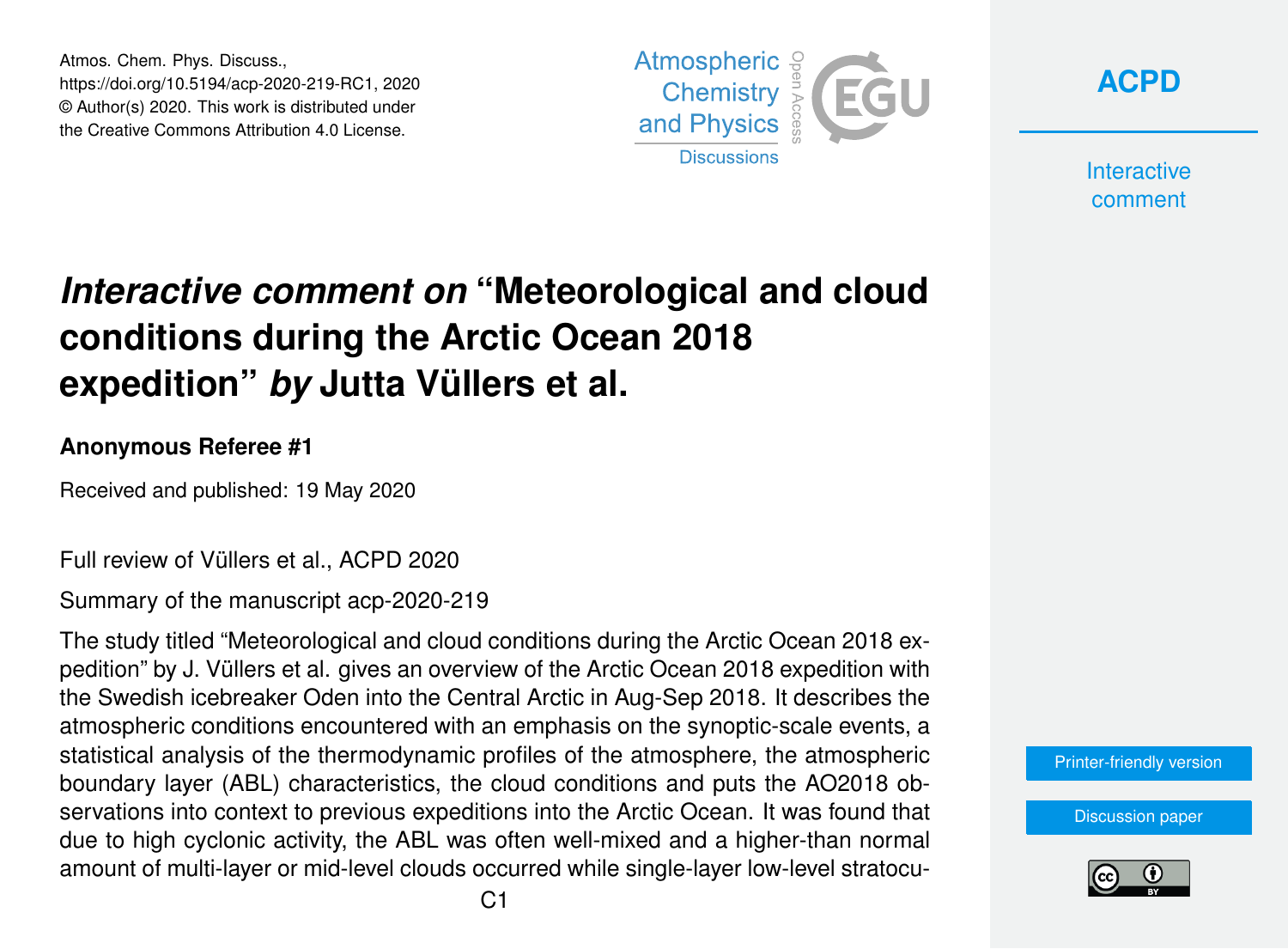Atmos. Chem. Phys. Discuss., https://doi.org/10.5194/acp-2020-219-RC1, 2020 © Author(s) 2020. This work is distributed under the Creative Commons Attribution 4.0 License.





**Interactive** comment

# *Interactive comment on* **"Meteorological and cloud conditions during the Arctic Ocean 2018 expedition"** *by* **Jutta Vüllers et al.**

### **Anonymous Referee #1**

Received and published: 19 May 2020

Full review of Vüllers et al., ACPD 2020

Summary of the manuscript acp-2020-219

The study titled "Meteorological and cloud conditions during the Arctic Ocean 2018 expedition" by J. Vüllers et al. gives an overview of the Arctic Ocean 2018 expedition with the Swedish icebreaker Oden into the Central Arctic in Aug-Sep 2018. It describes the atmospheric conditions encountered with an emphasis on the synoptic-scale events, a statistical analysis of the thermodynamic profiles of the atmosphere, the atmospheric boundary layer (ABL) characteristics, the cloud conditions and puts the AO2018 observations into context to previous expeditions into the Arctic Ocean. It was found that due to high cyclonic activity, the ABL was often well-mixed and a higher-than normal amount of multi-layer or mid-level clouds occurred while single-layer low-level stratocu-

[Printer-friendly version](https://www.atmos-chem-phys-discuss.net/acp-2020-219/acp-2020-219-RC1-print.pdf)

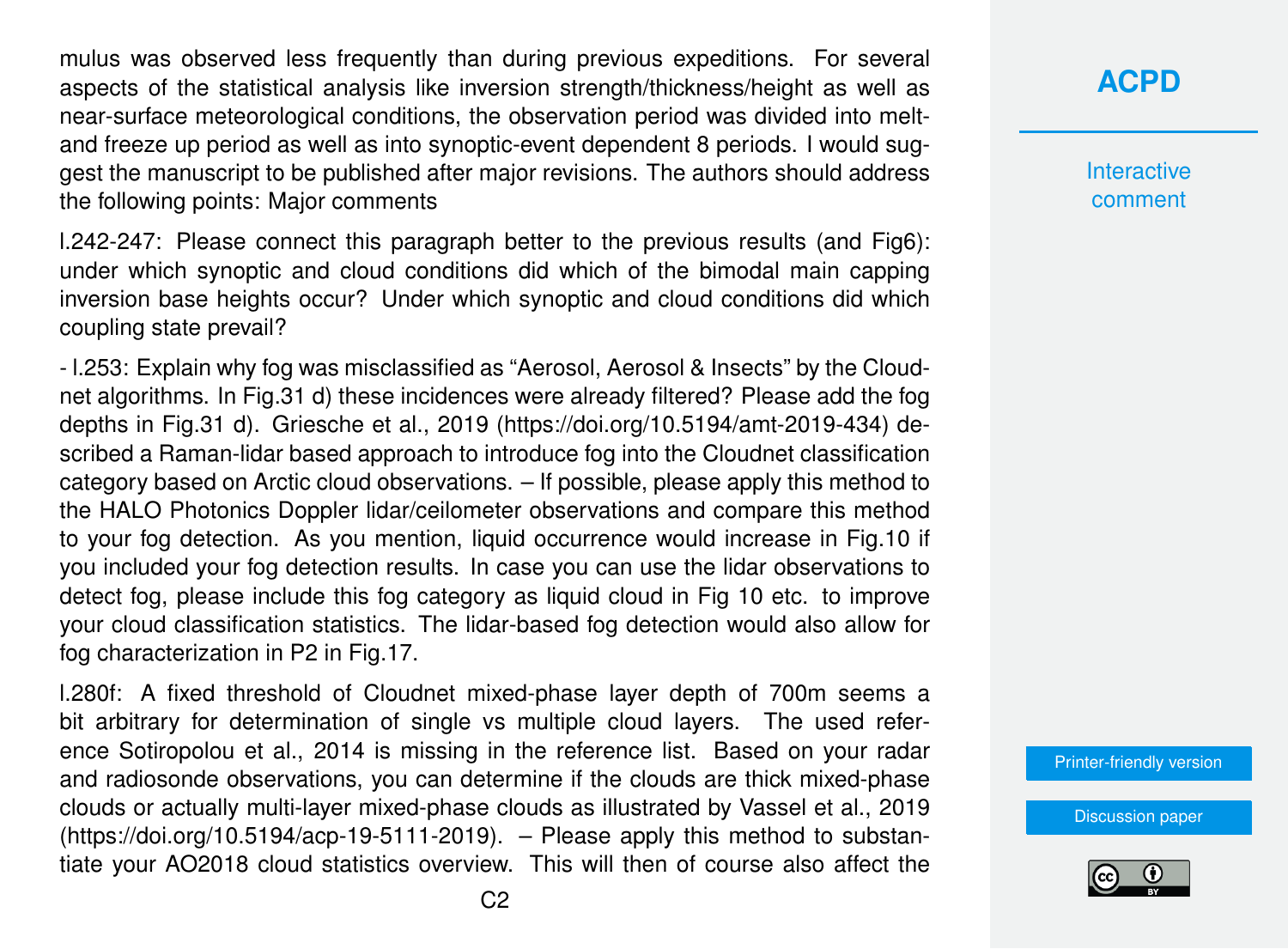mulus was observed less frequently than during previous expeditions. For several aspects of the statistical analysis like inversion strength/thickness/height as well as near-surface meteorological conditions, the observation period was divided into meltand freeze up period as well as into synoptic-event dependent 8 periods. I would suggest the manuscript to be published after major revisions. The authors should address the following points: Major comments

l.242-247: Please connect this paragraph better to the previous results (and Fig6): under which synoptic and cloud conditions did which of the bimodal main capping inversion base heights occur? Under which synoptic and cloud conditions did which coupling state prevail?

- l.253: Explain why fog was misclassified as "Aerosol, Aerosol & Insects" by the Cloudnet algorithms. In Fig.31 d) these incidences were already filtered? Please add the fog depths in Fig.31 d). Griesche et al., 2019 (https://doi.org/10.5194/amt-2019-434) described a Raman-lidar based approach to introduce fog into the Cloudnet classification category based on Arctic cloud observations. – If possible, please apply this method to the HALO Photonics Doppler lidar/ceilometer observations and compare this method to your fog detection. As you mention, liquid occurrence would increase in Fig.10 if you included your fog detection results. In case you can use the lidar observations to detect fog, please include this fog category as liquid cloud in Fig 10 etc. to improve your cloud classification statistics. The lidar-based fog detection would also allow for fog characterization in P2 in Fig.17.

l.280f: A fixed threshold of Cloudnet mixed-phase layer depth of 700m seems a bit arbitrary for determination of single vs multiple cloud layers. The used reference Sotiropolou et al., 2014 is missing in the reference list. Based on your radar and radiosonde observations, you can determine if the clouds are thick mixed-phase clouds or actually multi-layer mixed-phase clouds as illustrated by Vassel et al., 2019 (https://doi.org/10.5194/acp-19-5111-2019). – Please apply this method to substantiate your AO2018 cloud statistics overview. This will then of course also affect the **[ACPD](https://www.atmos-chem-phys-discuss.net/)**

**Interactive** comment

[Printer-friendly version](https://www.atmos-chem-phys-discuss.net/acp-2020-219/acp-2020-219-RC1-print.pdf)

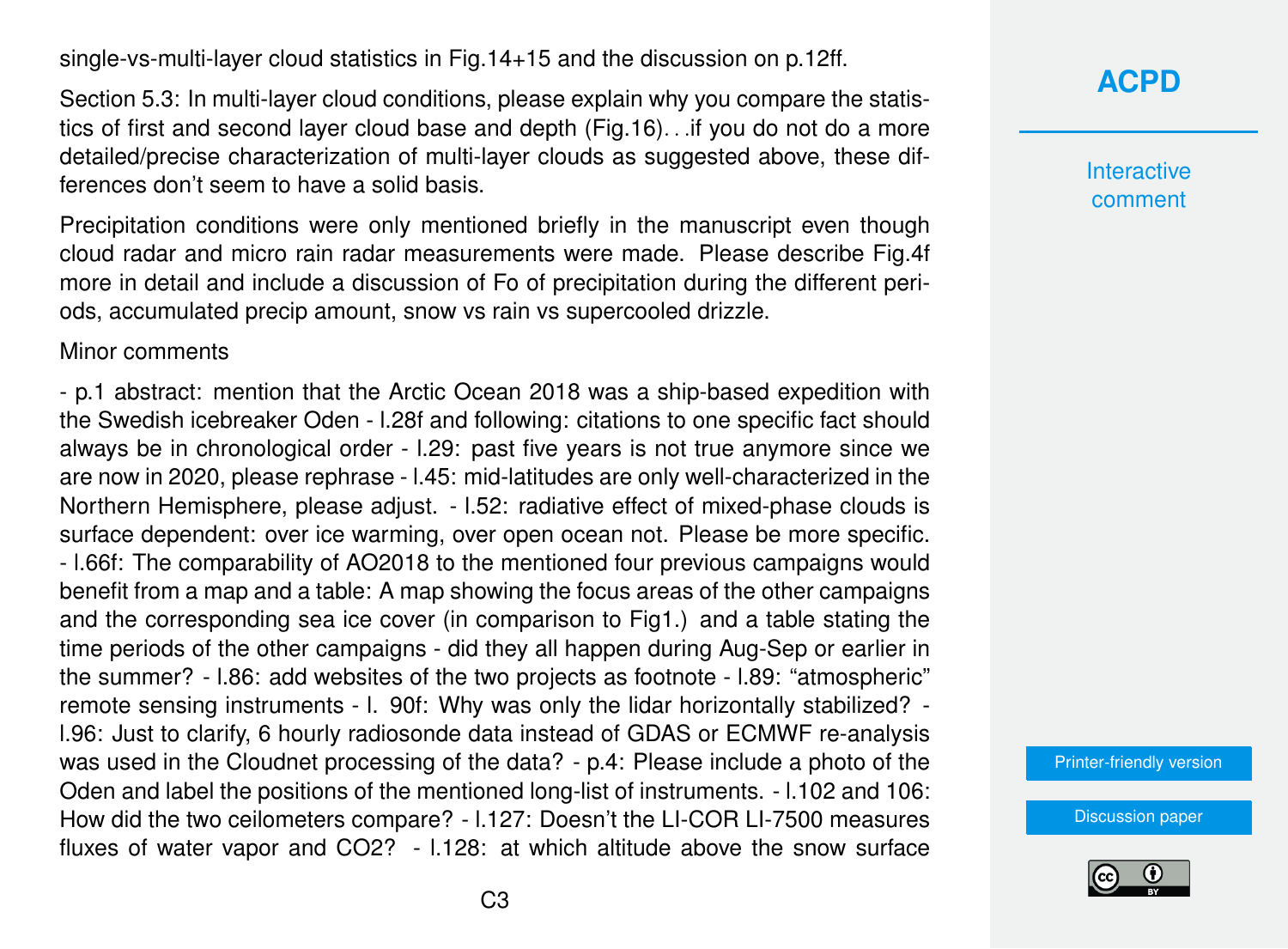single-vs-multi-layer cloud statistics in Fig.14+15 and the discussion on p.12ff.

Section 5.3: In multi-layer cloud conditions, please explain why you compare the statistics of first and second layer cloud base and depth (Fig.16). . .if you do not do a more detailed/precise characterization of multi-layer clouds as suggested above, these differences don't seem to have a solid basis.

Precipitation conditions were only mentioned briefly in the manuscript even though cloud radar and micro rain radar measurements were made. Please describe Fig.4f more in detail and include a discussion of Fo of precipitation during the different periods, accumulated precip amount, snow vs rain vs supercooled drizzle.

#### Minor comments

- p.1 abstract: mention that the Arctic Ocean 2018 was a ship-based expedition with the Swedish icebreaker Oden - l.28f and following: citations to one specific fact should always be in chronological order - l.29: past five years is not true anymore since we are now in 2020, please rephrase - l.45: mid-latitudes are only well-characterized in the Northern Hemisphere, please adjust. - l.52: radiative effect of mixed-phase clouds is surface dependent: over ice warming, over open ocean not. Please be more specific. - l.66f: The comparability of AO2018 to the mentioned four previous campaigns would benefit from a map and a table: A map showing the focus areas of the other campaigns and the corresponding sea ice cover (in comparison to Fig1.) and a table stating the time periods of the other campaigns - did they all happen during Aug-Sep or earlier in the summer? - l.86: add websites of the two projects as footnote - l.89: "atmospheric" remote sensing instruments - l. 90f: Why was only the lidar horizontally stabilized? l.96: Just to clarify, 6 hourly radiosonde data instead of GDAS or ECMWF re-analysis was used in the Cloudnet processing of the data? - p.4: Please include a photo of the Oden and label the positions of the mentioned long-list of instruments. - l.102 and 106: How did the two ceilometers compare? - l.127: Doesn't the LI-COR LI-7500 measures fluxes of water vapor and CO2? - l.128: at which altitude above the snow surface

## **[ACPD](https://www.atmos-chem-phys-discuss.net/)**

**Interactive** comment

[Printer-friendly version](https://www.atmos-chem-phys-discuss.net/acp-2020-219/acp-2020-219-RC1-print.pdf)

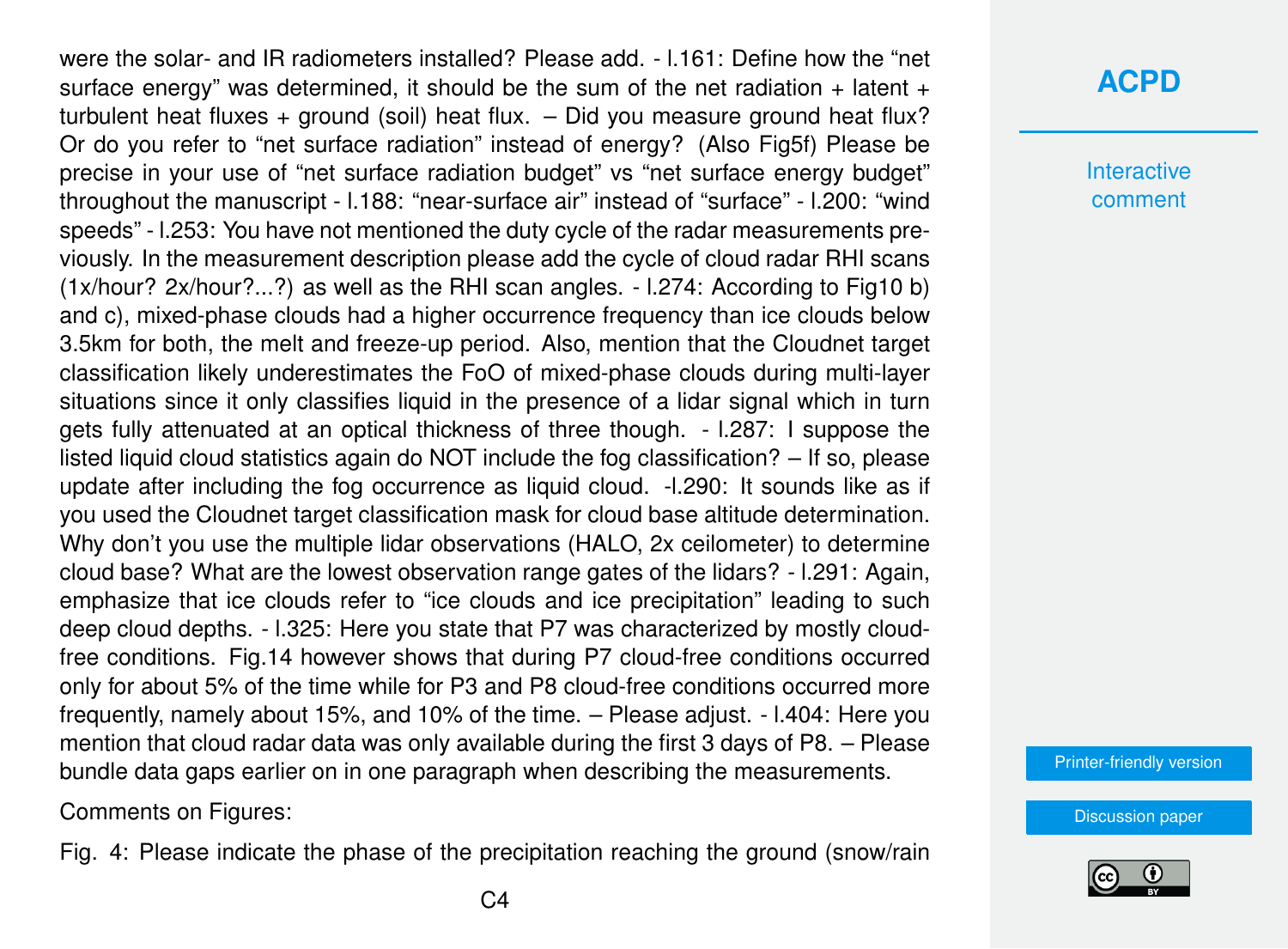were the solar- and IR radiometers installed? Please add - L161: Define how the "net surface energy" was determined, it should be the sum of the net radiation  $+$  latent  $+$ turbulent heat fluxes + ground (soil) heat flux. – Did you measure ground heat flux? Or do you refer to "net surface radiation" instead of energy? (Also Fig5f) Please be precise in your use of "net surface radiation budget" vs "net surface energy budget" throughout the manuscript - l.188: "near-surface air" instead of "surface" - l.200: "wind speeds" - l.253: You have not mentioned the duty cycle of the radar measurements previously. In the measurement description please add the cycle of cloud radar RHI scans (1x/hour? 2x/hour?...?) as well as the RHI scan angles. - l.274: According to Fig10 b) and c), mixed-phase clouds had a higher occurrence frequency than ice clouds below 3.5km for both, the melt and freeze-up period. Also, mention that the Cloudnet target classification likely underestimates the FoO of mixed-phase clouds during multi-layer situations since it only classifies liquid in the presence of a lidar signal which in turn gets fully attenuated at an optical thickness of three though. - l.287: I suppose the listed liquid cloud statistics again do NOT include the fog classification? – If so, please update after including the fog occurrence as liquid cloud. -l.290: It sounds like as if you used the Cloudnet target classification mask for cloud base altitude determination. Why don't you use the multiple lidar observations (HALO, 2x ceilometer) to determine cloud base? What are the lowest observation range gates of the lidars? - l.291: Again, emphasize that ice clouds refer to "ice clouds and ice precipitation" leading to such deep cloud depths. - l.325: Here you state that P7 was characterized by mostly cloudfree conditions. Fig.14 however shows that during P7 cloud-free conditions occurred only for about 5% of the time while for P3 and P8 cloud-free conditions occurred more frequently, namely about 15%, and 10% of the time. – Please adjust. - l.404: Here you mention that cloud radar data was only available during the first 3 days of P8. – Please bundle data gaps earlier on in one paragraph when describing the measurements.

Comments on Figures:

Fig. 4: Please indicate the phase of the precipitation reaching the ground (snow/rain

**Interactive** comment

[Printer-friendly version](https://www.atmos-chem-phys-discuss.net/acp-2020-219/acp-2020-219-RC1-print.pdf)